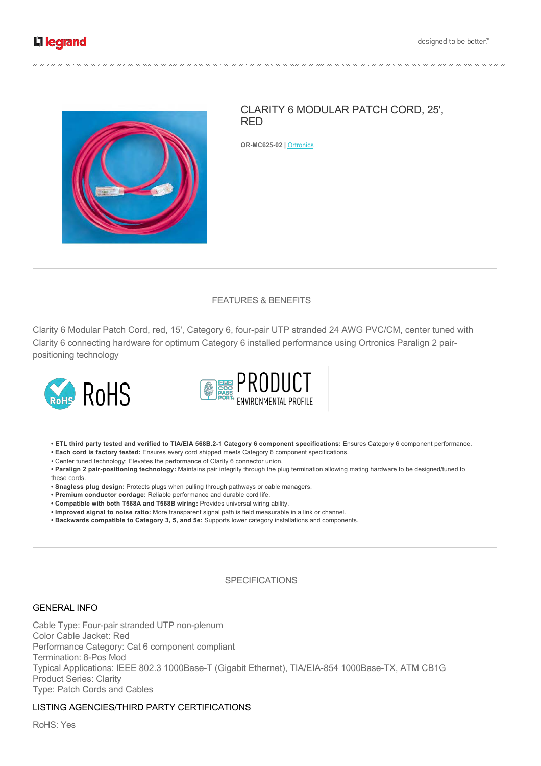

# CLARITY 6 MODULAR PATCH CORD, 25', RED

**ORMC62502 |** Ortronics

# FEATURES & BENEFITS

Clarity 6 Modular Patch Cord, red, 15', Category 6, four-pair UTP stranded 24 AWG PVC/CM, center tuned with Clarity 6 connecting hardware for optimum Category 6 installed performance using Ortronics Paralign 2 pairpositioning technology





**• ETL third party tested and verified to TIA/EIA 568B.21 Category 6 component specifications:** Ensures Category 6 component performance.

**• Each cord is factory tested:** Ensures every cord shipped meets Category 6 component specifications.

• Center tuned technology: Elevates the performance of Clarity 6 connector union.

• Paralign 2 pair-positioning technology: Maintains pair integrity through the plug termination allowing mating hardware to be designed/tuned to these cords.

**• Snagless plug design:** Protects plugs when pulling through pathways or cable managers.

- **Premium conductor cordage:** Reliable performance and durable cord life.
- **Compatible with both T568A and T568B wiring:** Provides universal wiring ability.
- **Improved signal to noise ratio:** More transparent signal path is field measurable in a link or channel.
- **Backwards compatible to Category 3, 5, and 5e:** Supports lower category installations and components.

## **SPECIFICATIONS**

#### GENERAL INFO

Cable Type: Four-pair stranded UTP non-plenum Color Cable Jacket: Red Performance Category: Cat 6 component compliant Termination: 8-Pos Mod Typical Applications: IEEE 802.3 1000Base-T (Gigabit Ethernet), TIA/EIA-854 1000Base-TX, ATM CB1G Product Series: Clarity Type: Patch Cords and Cables

# LISTING AGENCIES/THIRD PARTY CERTIFICATIONS

RoHS: Yes